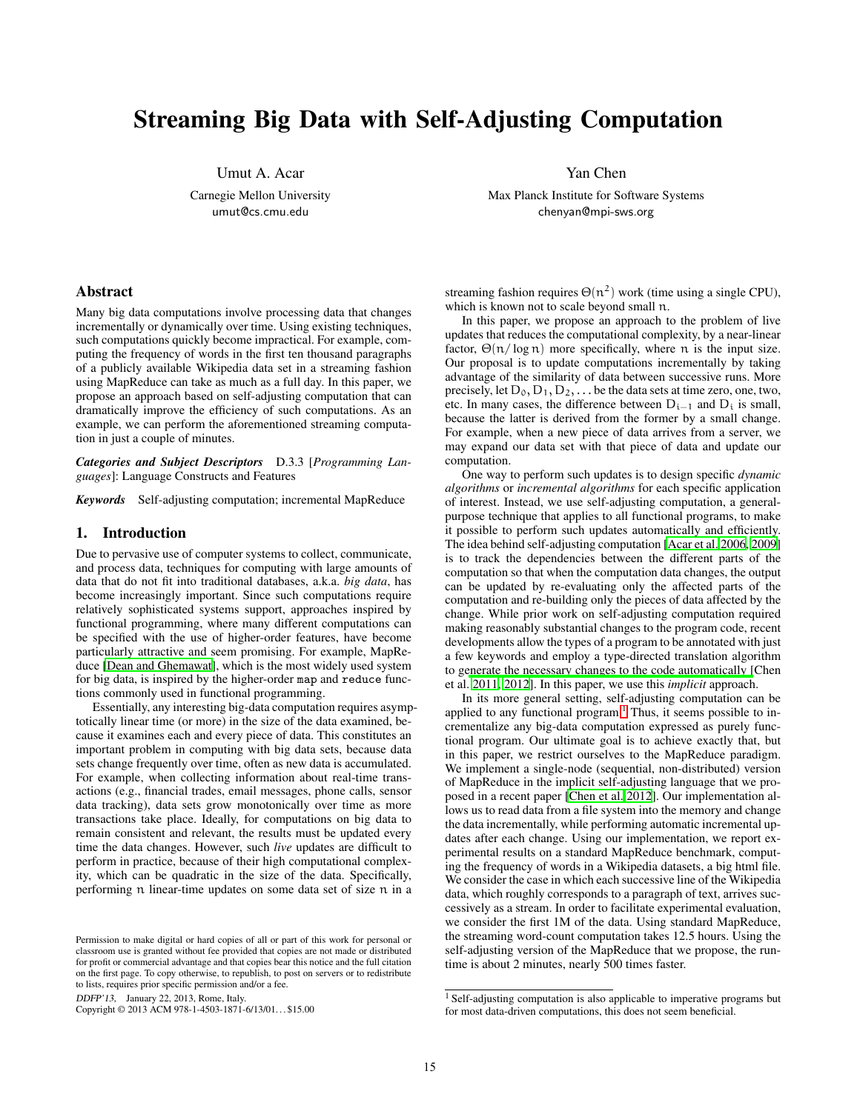# **Streaming Big Data with Self-Adjusting Computation**

Umut A. Acar

Carnegie Mellon University umut@cs.cmu.edu

Yan Chen

Max Planck Institute for Software Systems chenyan@mpi-sws.org

### **Abstract**

Many big data computations involve processing data that changes incrementally or dynamically over time. Using existing techniques, such computations quickly become impractical. For example, computing the frequency of words in the first ten thousand paragraphs of a publicly available Wikipedia data set in a streaming fashion using MapReduce can take as much as a full day. In this paper, we propose an approach based on self-adjusting computation that can dramatically improve the efficiency of such computations. As an example, we can perform the aforementioned streaming computation in just a couple of minutes.

*Categories and Subject Descriptors* D.3.3 [*Programming Languages*]: Language Constructs and Features

*Keywords* Self-adjusting computation; incremental MapReduce

## **1. Introduction**

Due to pervasive use of computer systems to collect, communicate, and process data, techniques for computing with large amounts of data that do not fit into traditional databases, a.k.a. *big data*, has become increasingly important. Since such computations require relatively sophisticated systems support, approaches inspired by functional programming, where many different computations can be specified with the use of higher-order features, have become particularly attractive and seem promising. For example, MapReduce [\[Dean and Ghemawat\]](#page-3-0), which is the most widely used system for big data, is inspired by the higher-order map and reduce functions commonly used in functional programming.

Essentially, any interesting big-data computation requires asymptotically linear time (or more) in the size of the data examined, because it examines each and every piece of data. This constitutes an important problem in computing with big data sets, because data sets change frequently over time, often as new data is accumulated. For example, when collecting information about real-time transactions (e.g., financial trades, email messages, phone calls, sensor data tracking), data sets grow monotonically over time as more transactions take place. Ideally, for computations on big data to remain consistent and relevant, the results must be updated every time the data changes. However, such *live* updates are difficult to perform in practice, because of their high computational complexity, which can be quadratic in the size of the data. Specifically, performing n linear-time updates on some data set of size n in a

DDFP'13, January 22, 2013, Rome, Italy.

Copyright © 2013 ACM 978-1-4503-1871-6/13/01. . . \$15.00

streaming fashion requires  $\Theta(n^2)$  work (time using a single CPU), which is known not to scale beyond small n.

In this paper, we propose an approach to the problem of live updates that reduces the computational complexity, by a near-linear factor,  $\Theta(n/\log n)$  more specifically, where n is the input size. Our proposal is to update computations incrementally by taking advantage of the similarity of data between successive runs. More precisely, let  $D_0, D_1, D_2, \ldots$  be the data sets at time zero, one, two, etc. In many cases, the difference between  $D_{i-1}$  and  $D_i$  is small, because the latter is derived from the former by a small change. For example, when a new piece of data arrives from a server, we may expand our data set with that piece of data and update our computation.

One way to perform such updates is to design specific *dynamic algorithms* or *incremental algorithms* for each specific application of interest. Instead, we use self-adjusting computation, a generalpurpose technique that applies to all functional programs, to make it possible to perform such updates automatically and efficiently. The idea behind self-adjusting computation [\[Acar et al. 2006](#page-3-1), [2009](#page-3-2)] is to track the dependencies between the different parts of the computation so that when the computation data changes, the output can be updated by re-evaluating only the affected parts of the computation and re-building only the pieces of data affected by the change. While prior work on self-adjusting computation required making reasonably substantial changes to the program code, recent developments allow the types of a program to be annotated with just a few keywords and employ a type-directed translation algorithm to g[enerate the necessary changes to the code automatically \[](#page-3-3)Chen et al. [2011,](#page-3-3) [2012](#page-3-4)]. In this paper, we use this *implicit* approach.

In its more general setting, self-adjusting computation can be applied to any functional program.<sup>[1](#page-0-0)</sup> Thus, it seems possible to incrementalize any big-data computation expressed as purely functional program. Our ultimate goal is to achieve exactly that, but in this paper, we restrict ourselves to the MapReduce paradigm. We implement a single-node (sequential, non-distributed) version of MapReduce in the implicit self-adjusting language that we proposed in a recent paper [\[Chen et al. 2012](#page-3-4)]. Our implementation allows us to read data from a file system into the memory and change the data incrementally, while performing automatic incremental updates after each change. Using our implementation, we report experimental results on a standard MapReduce benchmark, computing the frequency of words in a Wikipedia datasets, a big html file. We consider the case in which each successive line of the Wikipedia data, which roughly corresponds to a paragraph of text, arrives successively as a stream. In order to facilitate experimental evaluation, we consider the first 1M of the data. Using standard MapReduce, the streaming word-count computation takes 12.5 hours. Using the self-adjusting version of the MapReduce that we propose, the runtime is about 2 minutes, nearly 500 times faster.

Permission to make digital or hard copies of all or part of this work for personal or classroom use is granted without fee provided that copies are not made or distributed for profit or commercial advantage and that copies bear this notice and the full citation on the first page. To copy otherwise, to republish, to post on servers or to redistribute to lists, requires prior specific permission and/or a fee.

<span id="page-0-0"></span><sup>&</sup>lt;sup>1</sup> Self-adjusting computation is also applicable to imperative programs but for most data-driven computations, this does not seem beneficial.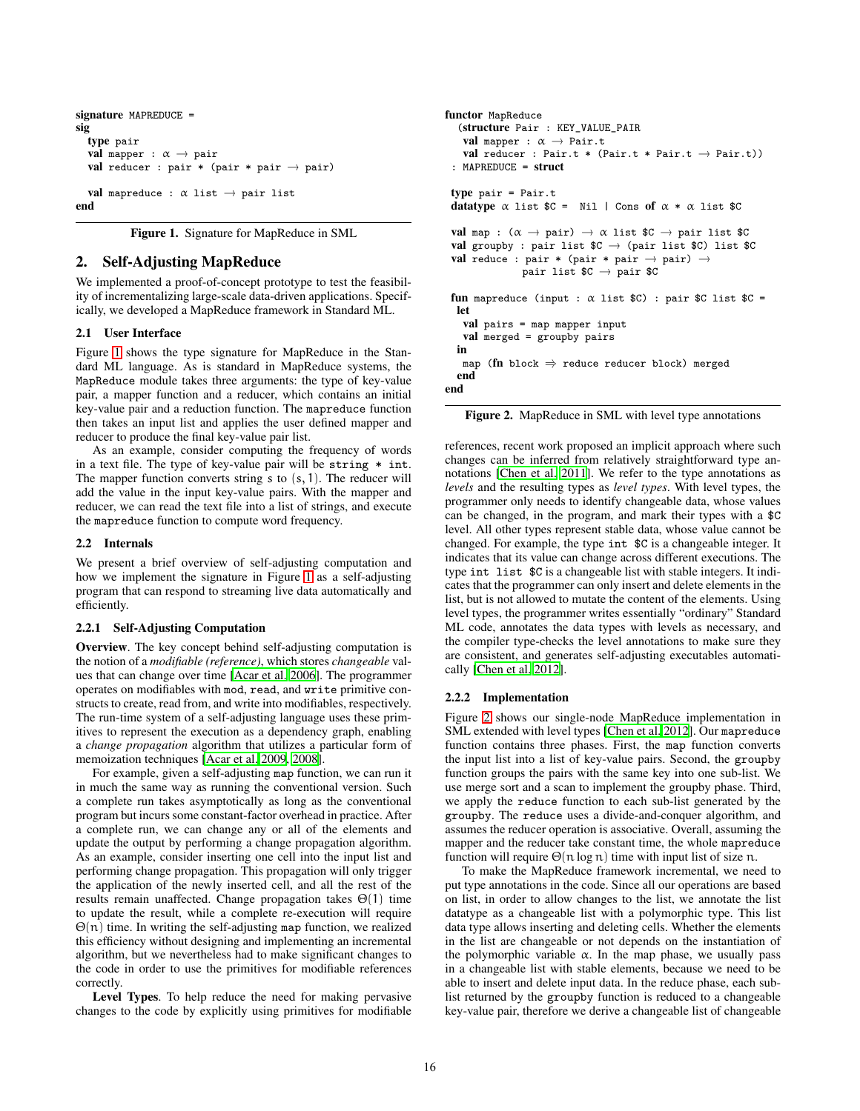```
signature MAPREDUCE =
sig
  type pair
  val mapper : α → pair
  val reducer : pair * (pair * pair \rightarrow pair)
  val mapreduce : α list → pair list
end
```
<span id="page-1-0"></span>**Figure 1.** Signature for MapReduce in SML

## **2. Self-Adjusting MapReduce**

We implemented a proof-of-concept prototype to test the feasibility of incrementalizing large-scale data-driven applications. Specifically, we developed a MapReduce framework in Standard ML.

#### **2.1 User Interface**

Figure [1](#page-1-0) shows the type signature for MapReduce in the Standard ML language. As is standard in MapReduce systems, the MapReduce module takes three arguments: the type of key-value pair, a mapper function and a reducer, which contains an initial key-value pair and a reduction function. The mapreduce function then takes an input list and applies the user defined mapper and reducer to produce the final key-value pair list.

As an example, consider computing the frequency of words in a text file. The type of key-value pair will be string  $*$  int. The mapper function converts string  $s$  to  $(s, 1)$ . The reducer will add the value in the input key-value pairs. With the mapper and reducer, we can read the text file into a list of strings, and execute the mapreduce function to compute word frequency.

#### **2.2 Internals**

We present a brief overview of self-adjusting computation and how we implement the signature in Figure [1](#page-1-0) as a self-adjusting program that can respond to streaming live data automatically and efficiently.

#### **2.2.1 Self-Adjusting Computation**

**Overview**. The key concept behind self-adjusting computation is the notion of a *modifiable (reference)*, which stores *changeable* values that can change over time [\[Acar et al. 2006\]](#page-3-1). The programmer operates on modifiables with mod, read, and write primitive constructs to create, read from, and write into modifiables, respectively. The run-time system of a self-adjusting language uses these primitives to represent the execution as a dependency graph, enabling a *change propagation* algorithm that utilizes a particular form of memoization techniques [\[Acar et al. 2009,](#page-3-2) [2008](#page-3-5)].

For example, given a self-adjusting map function, we can run it in much the same way as running the conventional version. Such a complete run takes asymptotically as long as the conventional program but incurs some constant-factor overhead in practice. After a complete run, we can change any or all of the elements and update the output by performing a change propagation algorithm. As an example, consider inserting one cell into the input list and performing change propagation. This propagation will only trigger the application of the newly inserted cell, and all the rest of the results remain unaffected. Change propagation takes  $\Theta(1)$  time to update the result, while a complete re-execution will require  $\Theta(n)$  time. In writing the self-adjusting map function, we realized this efficiency without designing and implementing an incremental algorithm, but we nevertheless had to make significant changes to the code in order to use the primitives for modifiable references correctly.

**Level Types**. To help reduce the need for making pervasive changes to the code by explicitly using primitives for modifiable

```
functor MapReduce
  (structure Pair : KEY_VALUE_PAIR
   val mapper : α → Pair.t
   val reducer : Pair.t * (Pair.t * Pair.t → Pair.t))
 : MAPREDUCE = struct
 type pair = Pair.t
 datatype \alpha list C = Nil | Cons of \alpha * \alpha list Cval map : (\alpha \rightarrow \text{pair}) \rightarrow \alpha list C \rightarrow \text{pair} list Cval groupby : pair list $C → (pair list $C) list $C
 val reduce : pair * (pair * pair → pair) →
              pair list C \rightarrow pair Cfun mapreduce (input : \alpha list C) : pair C list C =
  let
   val pairs = map mapper input
   val merged = groupby pairs
  in
   map (fn block ⇒ reduce reducer block) merged
  end
end
```
<span id="page-1-1"></span>**Figure 2.** MapReduce in SML with level type annotations

references, recent work proposed an implicit approach where such changes can be inferred from relatively straightforward type annotations [\[Chen et al. 2011\]](#page-3-3). We refer to the type annotations as *levels* and the resulting types as *level types*. With level types, the programmer only needs to identify changeable data, whose values can be changed, in the program, and mark their types with a \$C level. All other types represent stable data, whose value cannot be changed. For example, the type int \$C is a changeable integer. It indicates that its value can change across different executions. The type int list \$C is a changeable list with stable integers. It indicates that the programmer can only insert and delete elements in the list, but is not allowed to mutate the content of the elements. Using level types, the programmer writes essentially "ordinary" Standard ML code, annotates the data types with levels as necessary, and the compiler type-checks the level annotations to make sure they are consistent, and generates self-adjusting executables automatically [\[Chen et al. 2012](#page-3-4)].

#### **2.2.2 Implementation**

Figure [2](#page-1-1) shows our single-node MapReduce implementation in SML extended with level types [\[Chen et al. 2012\]](#page-3-4). Our mapreduce function contains three phases. First, the map function converts the input list into a list of key-value pairs. Second, the groupby function groups the pairs with the same key into one sub-list. We use merge sort and a scan to implement the groupby phase. Third, we apply the reduce function to each sub-list generated by the groupby. The reduce uses a divide-and-conquer algorithm, and assumes the reducer operation is associative. Overall, assuming the mapper and the reducer take constant time, the whole mapreduce function will require  $\Theta(n \log n)$  time with input list of size n.

To make the MapReduce framework incremental, we need to put type annotations in the code. Since all our operations are based on list, in order to allow changes to the list, we annotate the list datatype as a changeable list with a polymorphic type. This list data type allows inserting and deleting cells. Whether the elements in the list are changeable or not depends on the instantiation of the polymorphic variable  $\alpha$ . In the map phase, we usually pass in a changeable list with stable elements, because we need to be able to insert and delete input data. In the reduce phase, each sublist returned by the groupby function is reduced to a changeable key-value pair, therefore we derive a changeable list of changeable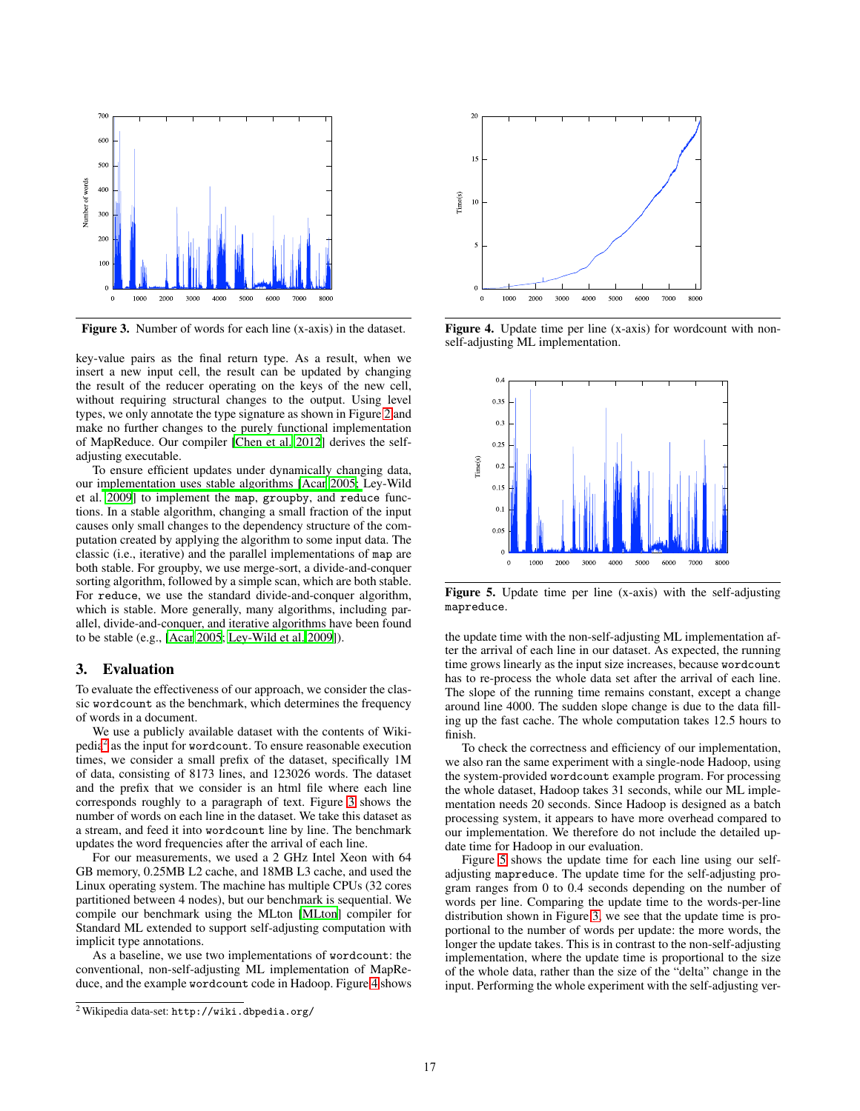

<span id="page-2-1"></span>**Figure 3.** Number of words for each line (x-axis) in the dataset.

key-value pairs as the final return type. As a result, when we insert a new input cell, the result can be updated by changing the result of the reducer operating on the keys of the new cell, without requiring structural changes to the output. Using level types, we only annotate the type signature as shown in Figure [2](#page-1-1) and make no further changes to the purely functional implementation of MapReduce. Our compiler [\[Chen et al. 2012\]](#page-3-4) derives the selfadjusting executable.

To ensure efficient updates under dynamically changing data, ouri[mplementation uses stable algorithms](#page-3-7) [\[Acar 2005](#page-3-6)[;](#page-3-7) Ley-Wild et al. [2009](#page-3-7)] to implement the map, groupby, and reduce functions. In a stable algorithm, changing a small fraction of the input causes only small changes to the dependency structure of the computation created by applying the algorithm to some input data. The classic (i.e., iterative) and the parallel implementations of map are both stable. For groupby, we use merge-sort, a divide-and-conquer sorting algorithm, followed by a simple scan, which are both stable. For reduce, we use the standard divide-and-conquer algorithm, which is stable. More generally, many algorithms, including parallel, divide-and-conquer, and iterative algorithms have been found to be stable (e.g., [\[Acar 2005](#page-3-6); [Ley-Wild et al. 2009](#page-3-7)]).

## **3. Evaluation**

To evaluate the effectiveness of our approach, we consider the classic wordcount as the benchmark, which determines the frequency of words in a document.

We use a publicly available dataset with the contents of Wikipedia[2](#page-2-0) as the input for wordcount. To ensure reasonable execution times, we consider a small prefix of the dataset, specifically 1M of data, consisting of 8173 lines, and 123026 words. The dataset and the prefix that we consider is an html file where each line corresponds roughly to a paragraph of text. Figure [3](#page-2-1) shows the number of words on each line in the dataset. We take this dataset as a stream, and feed it into wordcount line by line. The benchmark updates the word frequencies after the arrival of each line.

For our measurements, we used a 2 GHz Intel Xeon with 64 GB memory, 0.25MB L2 cache, and 18MB L3 cache, and used the Linux operating system. The machine has multiple CPUs (32 cores partitioned between 4 nodes), but our benchmark is sequential. We compile our benchmark using the MLton [\[MLton](#page-3-8)] compiler for Standard ML extended to support self-adjusting computation with implicit type annotations.

As a baseline, we use two implementations of wordcount: the conventional, non-self-adjusting ML implementation of MapReduce, and the example wordcount code in Hadoop. Figure [4](#page-2-2) shows



**Figure 4.** Update time per line (x-axis) for wordcount with nonself-adjusting ML implementation.

<span id="page-2-2"></span>

<span id="page-2-3"></span>**Figure 5.** Update time per line (x-axis) with the self-adjusting mapreduce.

the update time with the non-self-adjusting ML implementation after the arrival of each line in our dataset. As expected, the running time grows linearly as the input size increases, because wordcount has to re-process the whole data set after the arrival of each line. The slope of the running time remains constant, except a change around line 4000. The sudden slope change is due to the data filling up the fast cache. The whole computation takes 12.5 hours to finish.

To check the correctness and efficiency of our implementation, we also ran the same experiment with a single-node Hadoop, using the system-provided wordcount example program. For processing the whole dataset, Hadoop takes 31 seconds, while our ML implementation needs 20 seconds. Since Hadoop is designed as a batch processing system, it appears to have more overhead compared to our implementation. We therefore do not include the detailed update time for Hadoop in our evaluation.

Figure [5](#page-2-3) shows the update time for each line using our selfadjusting mapreduce. The update time for the self-adjusting program ranges from 0 to 0.4 seconds depending on the number of words per line. Comparing the update time to the words-per-line distribution shown in Figure [3,](#page-2-1) we see that the update time is proportional to the number of words per update: the more words, the longer the update takes. This is in contrast to the non-self-adjusting implementation, where the update time is proportional to the size of the whole data, rather than the size of the "delta" change in the input. Performing the whole experiment with the self-adjusting ver-

<span id="page-2-0"></span><sup>2</sup> Wikipedia data-set: http://wiki.dbpedia.org/